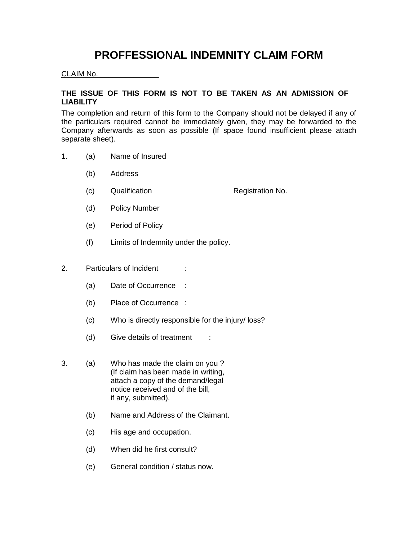## **PROFFESSIONAL INDEMNITY CLAIM FORM**

## CLAIM No. \_\_\_\_\_\_\_\_\_\_\_\_\_\_

## **THE ISSUE OF THIS FORM IS NOT TO BE TAKEN AS AN ADMISSION OF LIABILITY**

The completion and return of this form to the Company should not be delayed if any of the particulars required cannot be immediately given, they may be forwarded to the Company afterwards as soon as possible (If space found insufficient please attach separate sheet).

- 1. (a) Name of Insured
	- (b) Address
	- (c) Qualification **Registration No.**
	- (d) Policy Number
	- (e) Period of Policy
	- (f) Limits of Indemnity under the policy.
- 2. Particulars of Incident :
	- (a) Date of Occurrence :
	- (b) Place of Occurrence :
	- (c) Who is directly responsible for the injury/ loss?
	- (d) Give details of treatment :
- 3. (a) Who has made the claim on you ? (If claim has been made in writing, attach a copy of the demand/legal notice received and of the bill, if any, submitted).
	- (b) Name and Address of the Claimant.
	- (c) His age and occupation.
	- (d) When did he first consult?
	- (e) General condition / status now.